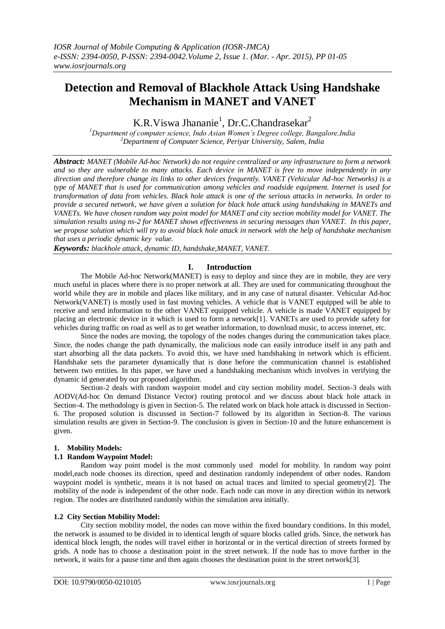# **Detection and Removal of Blackhole Attack Using Handshake Mechanism in MANET and VANET**

K.R.Viswa Jhananie<sup>1</sup>, Dr.C.Chandrasekar<sup>2</sup>

*<sup>1</sup>Department of computer science, Indo Asian Women's Degree college, Bangalore,India <sup>2</sup>Department of Computer Science, Periyar University, Salem, India*

*Abstract: MANET (Mobile Ad-hoc Network) do not require centralized or any infrastructure to form a network and so they are vulnerable to many attacks. Each device in MANET is free to move independently in any direction and therefore change its links to other devices frequently. VANET (Vehicular Ad-hoc Networks) is a type of MANET that is used for communication among vehicles and roadside equipment. Internet is used for transformation of data from vehicles. Black hole attack is one of the serious attacks in networks. In order to provide a secured network, we have given a solution for black hole attack using handshaking in MANETs and VANETs. We have chosen random way point model for MANET and city section mobility model for VANET. The simulation results using ns-2 for MANET shows effectiveness in securing messages than VANET. In this paper, we propose solution which will try to avoid black hole attack in network with the help of handshake mechanism that uses a periodic dynamic key value.*

*Keywords: blackhole attack, dynamic ID, handshake,MANET, VANET.*

### **I. Introduction**

The Mobile Ad-hoc Network(MANET) is easy to deploy and since they are in mobile, they are very much useful in places where there is no proper network at all. They are used for communicating throughout the world while they are in mobile and places like military, and in any case of natural disaster. Vehicular Ad-hoc Network(VANET) is mostly used in fast moving vehicles. A vehicle that is VANET equipped will be able to receive and send information to the other VANET equipped vehicle. A vehicle is made VANET equipped by placing an electronic device in it which is used to form a network[1]. VANETs are used to provide safety for vehicles during traffic on road as well as to get weather information, to download music, to access internet, etc.

Since the nodes are moving, the topology of the nodes changes during the communication takes place. Since, the nodes change the path dynamically, the malicious node can easily introduce itself in any path and start absorbing all the data packets. To avoid this, we have used handshaking in network which is efficient. Handshake sets the parameter dynamically that is done before the communication channel is established between two entities. In this paper, we have used a handshaking mechanism which involves in verifying the dynamic id generated by our proposed algorithm.

Section-2 deals with random waypoint model and city section mobility model. Section-3 deals with AODV(Ad-hoc On demand Distance Vector) routing protocol and we discuss about black hole attack in Section-4. The methodology is given in Section-5. The related work on black hole attack is discussed in Section-6. The proposed solution is discussed in Section-7 followed by its algorithm in Section-8. The various simulation results are given in Section-9. The conclusion is given in Section-10 and the future enhancement is given.

#### **1. Mobility Models:**

### **1.1 Random Waypoint Model:**

Random way point model is the most commonly used model for mobility. In random way point model,each node chooses its direction, speed and destination randomly independent of other nodes. Random waypoint model is synthetic, means it is not based on actual traces and limited to special geometry[2]. The mobility of the node is independent of the other node. Each node can move in any direction within its network region. The nodes are distributed randomly within the simulation area initially.

## **1.2 City Section Mobility Model:**

City section mobility model, the nodes can move within the fixed boundary conditions. In this model, the network is assumed to be divided in to identical length of square blocks called grids. Since, the network has identical block length, the nodes will travel either in horizontal or in the vertical direction of streets formed by grids. A node has to choose a destination point in the street network. If the node has to move further in the network, it waits for a pause time and then again chooses the destination point in the street network[3].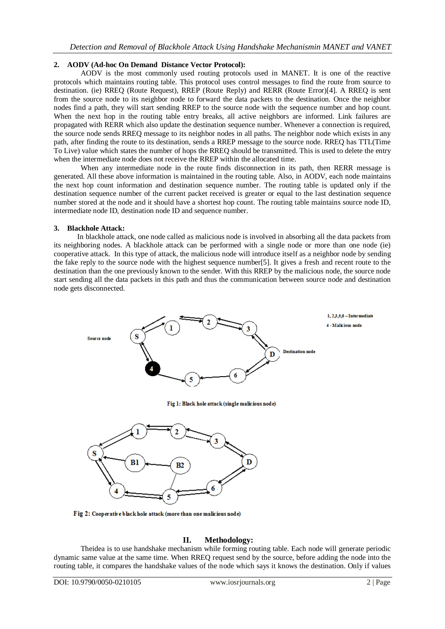## **2. AODV (Ad-hoc On Demand Distance Vector Protocol):**

AODV is the most commonly used routing protocols used in MANET. It is one of the reactive protocols which maintains routing table. This protocol uses control messages to find the route from source to destination. (ie) RREQ (Route Request), RREP (Route Reply) and RERR (Route Error)[4]. A RREQ is sent from the source node to its neighbor node to forward the data packets to the destination. Once the neighbor nodes find a path, they will start sending RREP to the source node with the sequence number and hop count. When the next hop in the routing table entry breaks, all active neighbors are informed. Link failures are propagated with RERR which also update the destination sequence number. Whenever a connection is required, the source node sends RREQ message to its neighbor nodes in all paths. The neighbor node which exists in any path, after finding the route to its destination, sends a RREP message to the source node. RREQ has TTL(Time To Live) value which states the number of hops the RREQ should be transmitted. This is used to delete the entry when the intermediate node does not receive the RREP within the allocated time.

When any intermediate node in the route finds disconnection in its path, then RERR message is generated. All these above information is maintained in the routing table. Also, in AODV, each node maintains the next hop count information and destination sequence number. The routing table is updated only if the destination sequence number of the current packet received is greater or equal to the last destination sequence number stored at the node and it should have a shortest hop count. The routing table maintains source node ID, intermediate node ID, destination node ID and sequence number.

### **3. Blackhole Attack:**

In blackhole attack, one node called as malicious node is involved in absorbing all the data packets from its neighboring nodes. A blackhole attack can be performed with a single node or more than one node (ie) cooperative attack. In this type of attack, the malicious node will introduce itself as a neighbor node by sending the fake reply to the source node with the highest sequence number[5]. It gives a fresh and recent route to the destination than the one previously known to the sender. With this RREP by the malicious node, the source node start sending all the data packets in this path and thus the communication between source node and destination node gets disconnected.



Fig 2: Cooperative black hole attack (more than one malicious node)

### **II. Methodology:**

Theidea is to use handshake mechanism while forming routing table. Each node will generate periodic dynamic same value at the same time. When RREQ request send by the source, before adding the node into the routing table, it compares the handshake values of the node which says it knows the destination. Only if values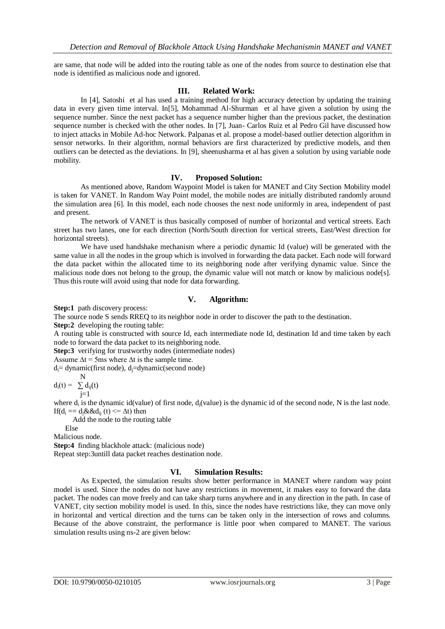are same, that node will be added into the routing table as one of the nodes from source to destination else that node is identified as malicious node and ignored.

### **III. Related Work:**

In [4], Satoshi et al has used a training method for high accuracy detection by updating the training data in every given time interval. In[5], Mohammad Al-Shurman et al have given a solution by using the sequence number. Since the next packet has a sequence number higher than the previous packet, the destination sequence number is checked with the other nodes. In [7], Juan- Carlos Ruiz et al Pedro Gil have discussed how to inject attacks in Mobile Ad-hoc Network. Palpanas et al. propose a model-based outlier detection algorithm in sensor networks. In their algorithm, normal behaviors are first characterized by predictive models, and then outliers can be detected as the deviations. In [9], sheenusharma et al has given a solution by using variable node mobility.

#### **IV. Proposed Solution:**

As mentioned above, Random Waypoint Model is taken for MANET and City Section Mobility model is taken for VANET. In Random Way Point model, the mobile nodes are initially distributed randomly around the simulation area [6]. In this model, each node chooses the next node uniformly in area, independent of past and present.

The network of VANET is thus basically composed of number of horizontal and vertical streets. Each street has two lanes, one for each direction (North/South direction for vertical streets, East/West direction for horizontal streets).

We have used handshake mechanism where a periodic dynamic Id (value) will be generated with the same value in all the nodes in the group which is involved in forwarding the data packet. Each node will forward the data packet within the allocated time to its neighboring node after verifying dynamic value. Since the malicious node does not belong to the group, the dynamic value will not match or know by malicious node[s]. Thus this route will avoid using that node for data forwarding.

### **V. Algorithm:**

**Step:1** path discovery process:

The source node S sends RREQ to its neighbor node in order to discover the path to the destination.

**Step:2** developing the routing table:

A routing table is constructed with source Id, each intermediate node Id, destination Id and time taken by each node to forward the data packet to its neighboring node.

**Step:3** verifying for trustworthy nodes (intermediate nodes)

Assume  $\Delta t = 5$ ms where  $\Delta t$  is the sample time.

 $d_i$ = dynamic(first node),  $d_i$ =dynamic(second node)

 N  $d_i(t) = \sum d_{ii}(t)$  $j=1$ 

where  $d_i$  is the dynamic id(value) of first node,  $d_j$ (value) is the dynamic id of the second node, N is the last node. If( $d_i = d_i \& \& d_{i}$  (t)  $\leq \Delta t$ ) then

Add the node to the routing table

Else

Malicious node.

**Step:4** finding blackhole attack: (malicious node) Repeat step:3untill data packet reaches destination node.

### **VI. Simulation Results:**

As Expected, the simulation results show better performance in MANET where random way point model is used. Since the nodes do not have any restrictions in movement, it makes easy to forward the data packet. The nodes can move freely and can take sharp turns anywhere and in any direction in the path. In case of VANET, city section mobility model is used. In this, since the nodes have restrictions like, they can move only in horizontal and vertical direction and the turns can be taken only in the intersection of rows and columns. Because of the above constraint, the performance is little poor when compared to MANET. The various simulation results using ns-2 are given below: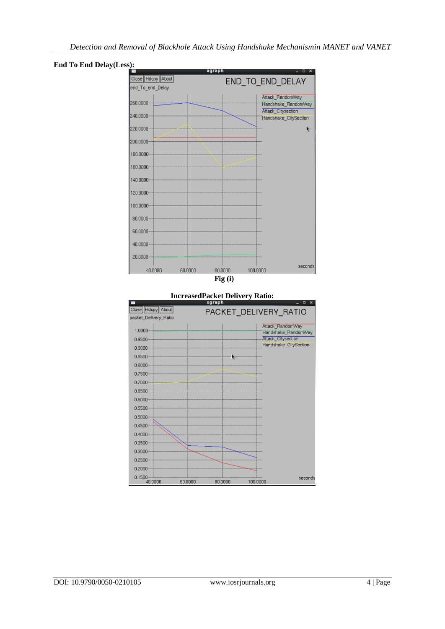



**IncreasedPacket Delivery Ratio:**

|                                            |         | valahii |                                                                 |                     |
|--------------------------------------------|---------|---------|-----------------------------------------------------------------|---------------------|
| Close Hdcpy About<br>packet_Delivery_Ratio |         |         | PACKET DELIVERY RATIO                                           |                     |
| 1.0000<br>0.9500<br>0.9000                 |         |         | Attack RandomWay<br>Attack_Citysection<br>Handshake_CitySection | Handshake_RandomWay |
| 0.8500<br>0.8000                           |         | Ŀ.      |                                                                 |                     |
| 0.7500<br>0.7000                           |         |         |                                                                 |                     |
| 0.6500                                     |         |         |                                                                 |                     |
| 0.6000<br>0.5500                           |         |         |                                                                 |                     |
| 0.5000<br>0.4500                           |         |         |                                                                 |                     |
| 0.4000 <sub>1</sub>                        |         |         |                                                                 |                     |
| 0.3500<br>0.3000                           |         |         |                                                                 |                     |
| 0.2500<br>0.2000                           |         |         |                                                                 |                     |
| 0.1500<br>40.0000                          | 60.0000 | 80.0000 | 100.0000                                                        | seconds             |